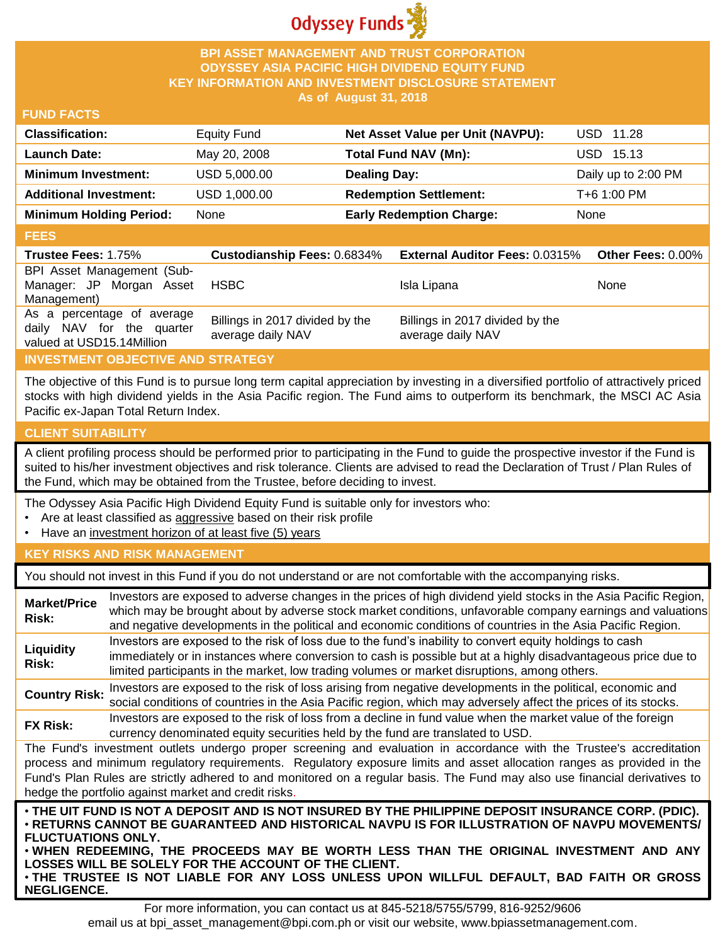

## **BPI ASSET MANAGEMENT AND TRUST CORPORATION ODYSSEY ASIA PACIFIC HIGH DIVIDEND EQUITY FUND KEY INFORMATION AND INVESTMENT DISCLOSURE STATEMENT As of August 31, 2018**

## **FUND FACTS**

| <b>Classification:</b>         | <b>Equity Fund</b> | Net Asset Value per Unit (NAVPU): | USD 11.28           |
|--------------------------------|--------------------|-----------------------------------|---------------------|
| <b>Launch Date:</b>            | May 20, 2008       | Total Fund NAV (Mn):              | USD 15.13           |
| <b>Minimum Investment:</b>     | USD 5,000.00       | <b>Dealing Day:</b>               | Daily up to 2:00 PM |
| <b>Additional Investment:</b>  | USD 1,000.00       | <b>Redemption Settlement:</b>     | T+6 1:00 PM         |
| <b>Minimum Holding Period:</b> | None               | <b>Early Redemption Charge:</b>   | None                |

#### **FEES**

| ----                                                                                 |                                                      |                                                      |                   |
|--------------------------------------------------------------------------------------|------------------------------------------------------|------------------------------------------------------|-------------------|
| <b>Trustee Fees: 1.75%</b>                                                           | <b>Custodianship Fees: 0.6834%</b>                   | <b>External Auditor Fees: 0.0315%</b>                | Other Fees: 0.00% |
| BPI Asset Management (Sub-<br>Manager: JP Morgan Asset<br>Management)                | <b>HSBC</b>                                          | Isla Lipana                                          | <b>None</b>       |
| As a percentage of average<br>daily NAV for the quarter<br>valued at USD15.14Million | Billings in 2017 divided by the<br>average daily NAV | Billings in 2017 divided by the<br>average daily NAV |                   |

# **INVESTMENT OBJECTIVE AND STRATEGY**

The objective of this Fund is to pursue long term capital appreciation by investing in a diversified portfolio of attractively priced stocks with high dividend yields in the Asia Pacific region. The Fund aims to outperform its benchmark, the MSCI AC Asia Pacific ex-Japan Total Return Index.

# **CLIENT SUITABILITY**

**NEGLIGENCE.**

A client profiling process should be performed prior to participating in the Fund to guide the prospective investor if the Fund is suited to his/her investment objectives and risk tolerance. Clients are advised to read the Declaration of Trust / Plan Rules of the Fund, which may be obtained from the Trustee, before deciding to invest.

The Odyssey Asia Pacific High Dividend Equity Fund is suitable only for investors who:

- Are at least classified as aggressive based on their risk profile
- Have an investment horizon of at least five (5) years

# **KEY RISKS AND RISK MANAGEMENT**

You should not invest in this Fund if you do not understand or are not comfortable with the accompanying risks.

| <b>Market/Price</b><br>Risk:                                                                                                                                                                                                                                                                                                                                                                                                                                                 | Investors are exposed to adverse changes in the prices of high dividend yield stocks in the Asia Pacific Region,<br>which may be brought about by adverse stock market conditions, unfavorable company earnings and valuations<br>and negative developments in the political and economic conditions of countries in the Asia Pacific Region. |  |  |
|------------------------------------------------------------------------------------------------------------------------------------------------------------------------------------------------------------------------------------------------------------------------------------------------------------------------------------------------------------------------------------------------------------------------------------------------------------------------------|-----------------------------------------------------------------------------------------------------------------------------------------------------------------------------------------------------------------------------------------------------------------------------------------------------------------------------------------------|--|--|
| Liquidity<br>Risk:                                                                                                                                                                                                                                                                                                                                                                                                                                                           | Investors are exposed to the risk of loss due to the fund's inability to convert equity holdings to cash<br>immediately or in instances where conversion to cash is possible but at a highly disadvantageous price due to<br>limited participants in the market, low trading volumes or market disruptions, among others.                     |  |  |
| <b>Country Risk:</b>                                                                                                                                                                                                                                                                                                                                                                                                                                                         | Investors are exposed to the risk of loss arising from negative developments in the political, economic and<br>social conditions of countries in the Asia Pacific region, which may adversely affect the prices of its stocks.                                                                                                                |  |  |
| <b>FX Risk:</b>                                                                                                                                                                                                                                                                                                                                                                                                                                                              | Investors are exposed to the risk of loss from a decline in fund value when the market value of the foreign<br>currency denominated equity securities held by the fund are translated to USD.                                                                                                                                                 |  |  |
| The Fund's investment outlets undergo proper screening and evaluation in accordance with the Trustee's accreditation<br>process and minimum regulatory requirements. Regulatory exposure limits and asset allocation ranges as provided in the<br>Fund's Plan Rules are strictly adhered to and monitored on a regular basis. The Fund may also use financial derivatives to<br>hedge the portfolio against market and credit risks.                                         |                                                                                                                                                                                                                                                                                                                                               |  |  |
| . THE UIT FUND IS NOT A DEPOSIT AND IS NOT INSURED BY THE PHILIPPINE DEPOSIT INSURANCE CORP. (PDIC).<br>⋅RETURNS CANNOT BE GUARANTEED AND HISTORICAL NAVPU IS FOR ILLUSTRATION OF NAVPU MOVEMENTS/<br><b>FLUCTUATIONS ONLY.</b><br>. WHEN REDEEMING, THE PROCEEDS MAY BE WORTH LESS THAN THE ORIGINAL INVESTMENT AND ANY<br>LOSSES WILL BE SOLELY FOR THE ACCOUNT OF THE CLIENT.<br>. THE TRUSTEE IS NOT LIABLE FOR ANY LOSS UNLESS UPON WILLFUL DEFAULT, BAD FAITH OR GROSS |                                                                                                                                                                                                                                                                                                                                               |  |  |

For more information, you can contact us at 845-5218/5755/5799, 816-9252/9606 email us at bpi\_asset\_management@bpi.com.ph or visit our website, www.bpiassetmanagement.com.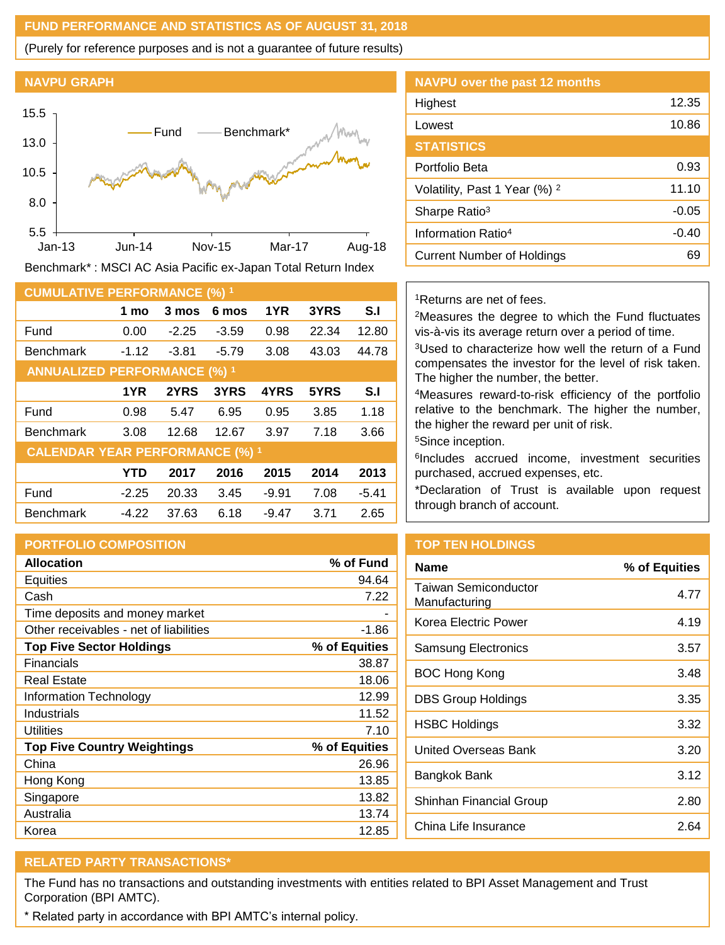## **FUND PERFORMANCE AND STATISTICS AS OF AUGUST 31, 2018**

(Purely for reference purposes and is not a guarantee of future results)

#### **NAVPU GRAPH**



Benchmark\* : MSCI AC Asia Pacific ex-Japan Total Return Index

| <b>CUMULATIVE PERFORMANCE (%) 1</b>    |         |         |         |         |       |                |
|----------------------------------------|---------|---------|---------|---------|-------|----------------|
|                                        | 1 mo    | 3 mos   | 6 mos   | 1YR     | 3YRS  | S.I            |
| Fund                                   | 0.00    | $-2.25$ | $-3.59$ | 0.98    | 22.34 | 12.80          |
| <b>Benchmark</b>                       | $-1.12$ | $-3.81$ | $-5.79$ | 3.08    | 43.03 | 44.78          |
| <b>ANNUALIZED PERFORMANCE (%) 1</b>    |         |         |         |         |       |                |
|                                        | 1YR     | 2YRS    | 3YRS    | 4YRS    | 5YRS  | S <sub>1</sub> |
| Fund                                   | 0.98    | 5.47    | 6.95    | 0.95    | 3.85  | 1.18           |
| <b>Benchmark</b>                       | 3.08    | 12.68   | 12.67   | 3.97    | 7.18  | 3.66           |
| <b>CALENDAR YEAR PERFORMANCE (%) 1</b> |         |         |         |         |       |                |
|                                        | YTD     | 2017    | 2016    | 2015    | 2014  | 2013           |
| Fund                                   | $-2.25$ | 20.33   | 3.45    | $-9.91$ | 7.08  | $-5.41$        |
| <b>Benchmark</b>                       | $-4.22$ | 37.63   | 6.18    | $-9.47$ | 3.71  | 2.65           |

## **PORTFOLIO COMPOSITION**

| <b>Allocation</b>                      | % of Fund     |
|----------------------------------------|---------------|
| <b>Equities</b>                        | 94.64         |
| Cash                                   | 7.22          |
| Time deposits and money market         |               |
| Other receivables - net of liabilities | -1.86         |
| <b>Top Five Sector Holdings</b>        | % of Equities |
| Financials                             | 38.87         |
| Real Estate                            | 18.06         |
| Information Technology                 | 12.99         |
| Industrials                            | 11.52         |
| Utilities                              | 7.10          |
| <b>Top Five Country Weightings</b>     | % of Equities |
| China                                  | 26.96         |
| Hong Kong                              | 13.85         |
| Singapore                              | 13.82         |
| Australia                              | 13.74         |
| Korea                                  | 12.85         |

| <b>NAVPU over the past 12 months</b>     |         |
|------------------------------------------|---------|
| Highest                                  | 12.35   |
| Lowest                                   | 10.86   |
| <b>STATISTICS</b>                        |         |
| Portfolio Beta                           | 0.93    |
| Volatility, Past 1 Year (%) <sup>2</sup> | 11.10   |
| Sharpe Ratio <sup>3</sup>                | $-0.05$ |
| Information Ratio <sup>4</sup>           | $-0.40$ |
| Current Number of Holdings               | 69      |

## <sup>1</sup>Returns are net of fees.

<sup>2</sup>Measures the degree to which the Fund fluctuates vis-à-vis its average return over a period of time.

<sup>3</sup>Used to characterize how well the return of a Fund compensates the investor for the level of risk taken. The higher the number, the better.

<sup>4</sup>Measures reward-to-risk efficiency of the portfolio relative to the benchmark. The higher the number, the higher the reward per unit of risk.

<sup>5</sup>Since inception.

6 Includes accrued income, investment securities purchased, accrued expenses, etc.

\*Declaration of Trust is available upon request through branch of account.

# **TOP TEN HOLDINGS**

| <b>Name</b>                           | % of Equities |
|---------------------------------------|---------------|
| Taiwan Semiconductor<br>Manufacturing | 4.77          |
| Korea Electric Power                  | 4.19          |
| <b>Samsung Electronics</b>            | 3.57          |
| BOC Hong Kong                         | 3.48          |
| <b>DBS Group Holdings</b>             | 3.35          |
| HSBC Holdings                         | 3.32          |
| United Overseas Bank                  | 3.20          |
| Bangkok Bank                          | 3.12          |
| Shinhan Financial Group               | 2.80          |
| China Life Insurance                  | 2 64          |

# **RELATED PARTY TRANSACTIONS\***

The Fund has no transactions and outstanding investments with entities related to BPI Asset Management and Trust Corporation (BPI AMTC).

\* Related party in accordance with BPI AMTC's internal policy.